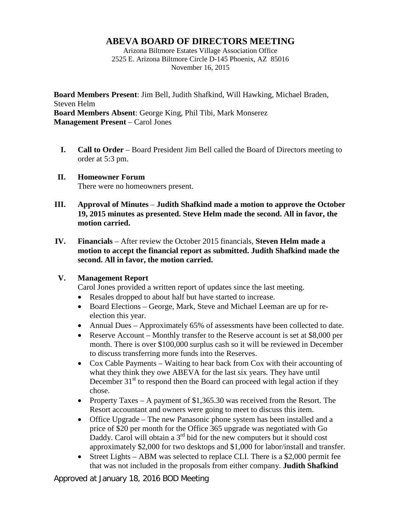## **ABEVA BOARD OF DIRECTORS MEETING**

Arizona Biltmore Estates Village Association Office 2525 E. Arizona Biltmore Circle D-145 Phoenix, AZ 85016 November 16, 2015

**Board Members Present**: Jim Bell, Judith Shafkind, Will Hawking, Michael Braden, Steven Helm **Board Members Absent**: George King, Phil Tibi, Mark Monserez **Management Present** – Carol Jones

- **I. Call to Order** Board President Jim Bell called the Board of Directors meeting to order at 5:3 pm.
- **II. Homeowner Forum** There were no homeowners present.
- **III. Approval of Minutes Judith Shafkind made a motion to approve the October 19, 2015 minutes as presented. Steve Helm made the second. All in favor, the motion carried.**
- **IV. Financials** After review the October 2015 financials, **Steven Helm made a motion to accept the financial report as submitted. Judith Shafkind made the second. All in favor, the motion carried.**

## **V. Management Report**

Carol Jones provided a written report of updates since the last meeting.

- Resales dropped to about half but have started to increase.
- Board Elections George, Mark, Steve and Michael Leeman are up for reelection this year.
- Annual Dues Approximately 65% of assessments have been collected to date.
- Reserve Account Monthly transfer to the Reserve account is set at \$8,000 per month. There is over \$100,000 surplus cash so it will be reviewed in December to discuss transferring more funds into the Reserves.
- Cox Cable Payments Waiting to hear back from Cox with their accounting of what they think they owe ABEVA for the last six years. They have until December  $31<sup>st</sup>$  to respond then the Board can proceed with legal action if they chose.
- Property Taxes A payment of \$1,365.30 was received from the Resort. The Resort accountant and owners were going to meet to discuss this item.
- Office Upgrade The new Panasonic phone system has been installed and a price of \$20 per month for the Office 365 upgrade was negotiated with Go Daddy. Carol will obtain a  $3<sup>rd</sup>$  bid for the new computers but it should cost approximately \$2,000 for two desktops and \$1,000 for labor/install and transfer.
- Street Lights ABM was selected to replace CLI. There is a \$2,000 permit fee that was not included in the proposals from either company. **Judith Shafkind**

Approved at January 18, 2016 BOD Meeting